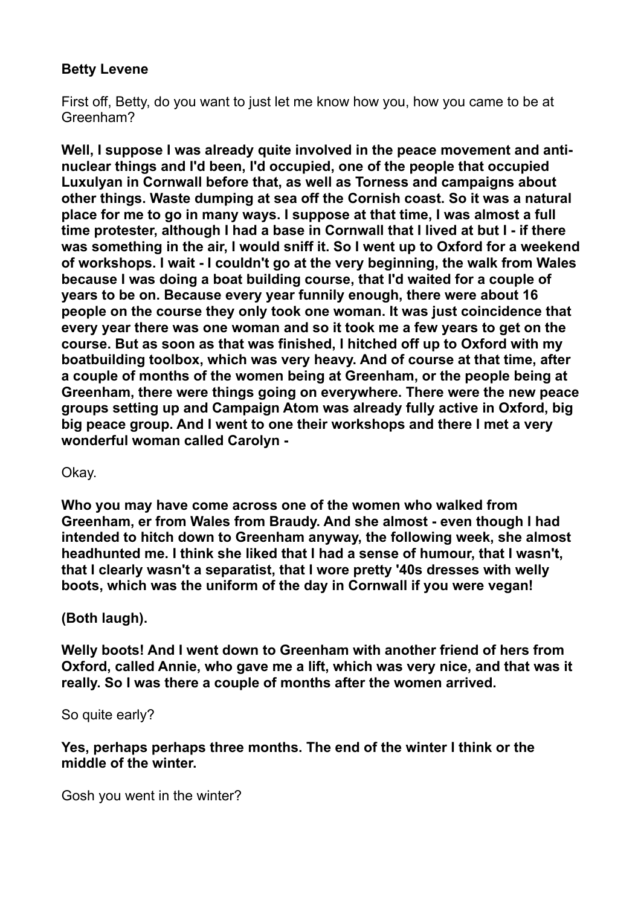### **Betty Levene**

First off, Betty, do you want to just let me know how you, how you came to be at Greenham?

**Well, I suppose I was already quite involved in the peace movement and antinuclear things and I'd been, I'd occupied, one of the people that occupied Luxulyan in Cornwall before that, as well as Torness and campaigns about other things. Waste dumping at sea off the Cornish coast. So it was a natural place for me to go in many ways. I suppose at that time, I was almost a full time protester, although I had a base in Cornwall that I lived at but I - if there was something in the air, I would sniff it. So I went up to Oxford for a weekend of workshops. I wait - I couldn't go at the very beginning, the walk from Wales because I was doing a boat building course, that I'd waited for a couple of years to be on. Because every year funnily enough, there were about 16 people on the course they only took one woman. It was just coincidence that every year there was one woman and so it took me a few years to get on the course. But as soon as that was finished, I hitched off up to Oxford with my boatbuilding toolbox, which was very heavy. And of course at that time, after a couple of months of the women being at Greenham, or the people being at Greenham, there were things going on everywhere. There were the new peace groups setting up and Campaign Atom was already fully active in Oxford, big big peace group. And I went to one their workshops and there I met a very wonderful woman called Carolyn -** 

Okay.

**Who you may have come across one of the women who walked from Greenham, er from Wales from Braudy. And she almost - even though I had intended to hitch down to Greenham anyway, the following week, she almost headhunted me. I think she liked that I had a sense of humour, that I wasn't, that I clearly wasn't a separatist, that I wore pretty '40s dresses with welly boots, which was the uniform of the day in Cornwall if you were vegan!** 

### **(Both laugh).**

**Welly boots! And I went down to Greenham with another friend of hers from Oxford, called Annie, who gave me a lift, which was very nice, and that was it really. So I was there a couple of months after the women arrived.** 

So quite early?

**Yes, perhaps perhaps three months. The end of the winter I think or the middle of the winter.** 

Gosh you went in the winter?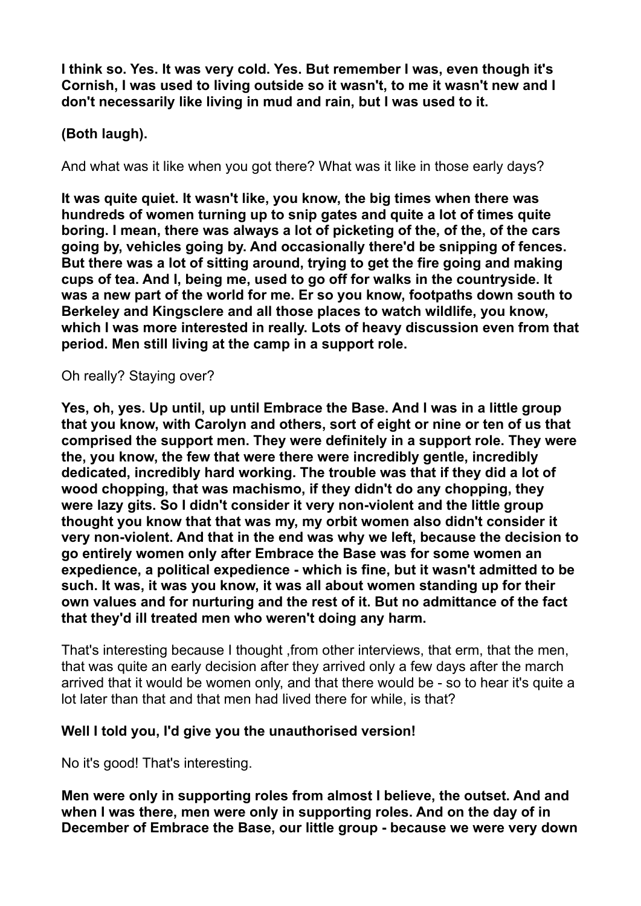**I think so. Yes. It was very cold. Yes. But remember I was, even though it's Cornish, I was used to living outside so it wasn't, to me it wasn't new and I don't necessarily like living in mud and rain, but I was used to it.** 

# **(Both laugh).**

And what was it like when you got there? What was it like in those early days?

**It was quite quiet. It wasn't like, you know, the big times when there was hundreds of women turning up to snip gates and quite a lot of times quite boring. I mean, there was always a lot of picketing of the, of the, of the cars going by, vehicles going by. And occasionally there'd be snipping of fences. But there was a lot of sitting around, trying to get the fire going and making cups of tea. And I, being me, used to go off for walks in the countryside. It was a new part of the world for me. Er so you know, footpaths down south to Berkeley and Kingsclere and all those places to watch wildlife, you know, which I was more interested in really. Lots of heavy discussion even from that period. Men still living at the camp in a support role.** 

#### Oh really? Staying over?

**Yes, oh, yes. Up until, up until Embrace the Base. And I was in a little group that you know, with Carolyn and others, sort of eight or nine or ten of us that comprised the support men. They were definitely in a support role. They were the, you know, the few that were there were incredibly gentle, incredibly dedicated, incredibly hard working. The trouble was that if they did a lot of wood chopping, that was machismo, if they didn't do any chopping, they were lazy gits. So I didn't consider it very non-violent and the little group thought you know that that was my, my orbit women also didn't consider it very non-violent. And that in the end was why we left, because the decision to go entirely women only after Embrace the Base was for some women an expedience, a political expedience - which is fine, but it wasn't admitted to be such. It was, it was you know, it was all about women standing up for their own values and for nurturing and the rest of it. But no admittance of the fact that they'd ill treated men who weren't doing any harm.**

That's interesting because I thought ,from other interviews, that erm, that the men, that was quite an early decision after they arrived only a few days after the march arrived that it would be women only, and that there would be - so to hear it's quite a lot later than that and that men had lived there for while, is that?

### **Well I told you, I'd give you the unauthorised version!**

No it's good! That's interesting.

**Men were only in supporting roles from almost I believe, the outset. And and when I was there, men were only in supporting roles. And on the day of in December of Embrace the Base, our little group - because we were very down**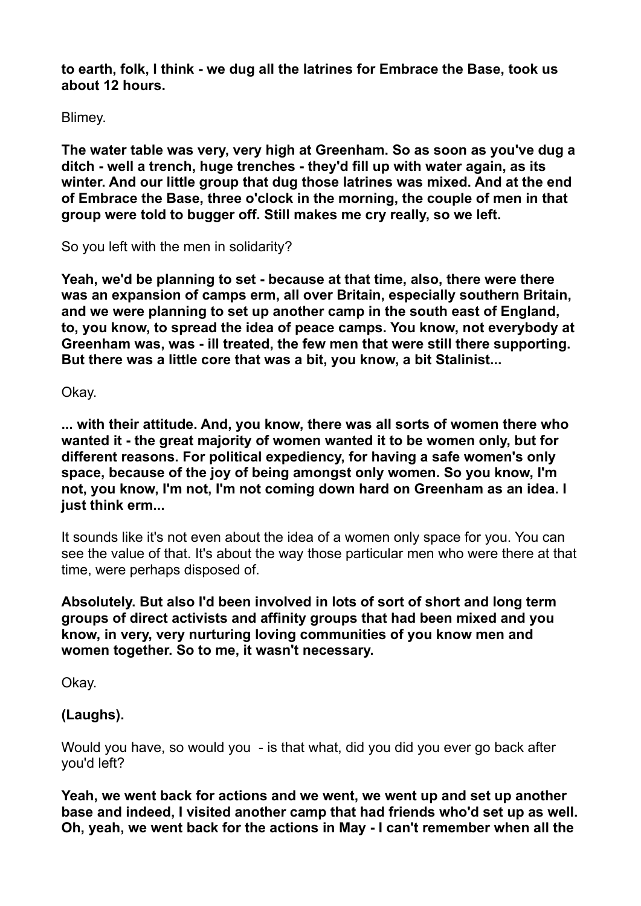**to earth, folk, I think - we dug all the latrines for Embrace the Base, took us about 12 hours.** 

Blimey.

**The water table was very, very high at Greenham. So as soon as you've dug a ditch - well a trench, huge trenches - they'd fill up with water again, as its winter. And our little group that dug those latrines was mixed. And at the end of Embrace the Base, three o'clock in the morning, the couple of men in that group were told to bugger off. Still makes me cry really, so we left.** 

So you left with the men in solidarity?

**Yeah, we'd be planning to set - because at that time, also, there were there was an expansion of camps erm, all over Britain, especially southern Britain, and we were planning to set up another camp in the south east of England, to, you know, to spread the idea of peace camps. You know, not everybody at Greenham was, was - ill treated, the few men that were still there supporting. But there was a little core that was a bit, you know, a bit Stalinist...** 

Okay.

**... with their attitude. And, you know, there was all sorts of women there who wanted it - the great majority of women wanted it to be women only, but for different reasons. For political expediency, for having a safe women's only space, because of the joy of being amongst only women. So you know, I'm not, you know, I'm not, I'm not coming down hard on Greenham as an idea. I just think erm...** 

It sounds like it's not even about the idea of a women only space for you. You can see the value of that. It's about the way those particular men who were there at that time, were perhaps disposed of.

**Absolutely. But also I'd been involved in lots of sort of short and long term groups of direct activists and affinity groups that had been mixed and you know, in very, very nurturing loving communities of you know men and women together. So to me, it wasn't necessary.** 

Okay.

# **(Laughs).**

Would you have, so would you - is that what, did you did you ever go back after you'd left?

**Yeah, we went back for actions and we went, we went up and set up another base and indeed, I visited another camp that had friends who'd set up as well. Oh, yeah, we went back for the actions in May - I can't remember when all the**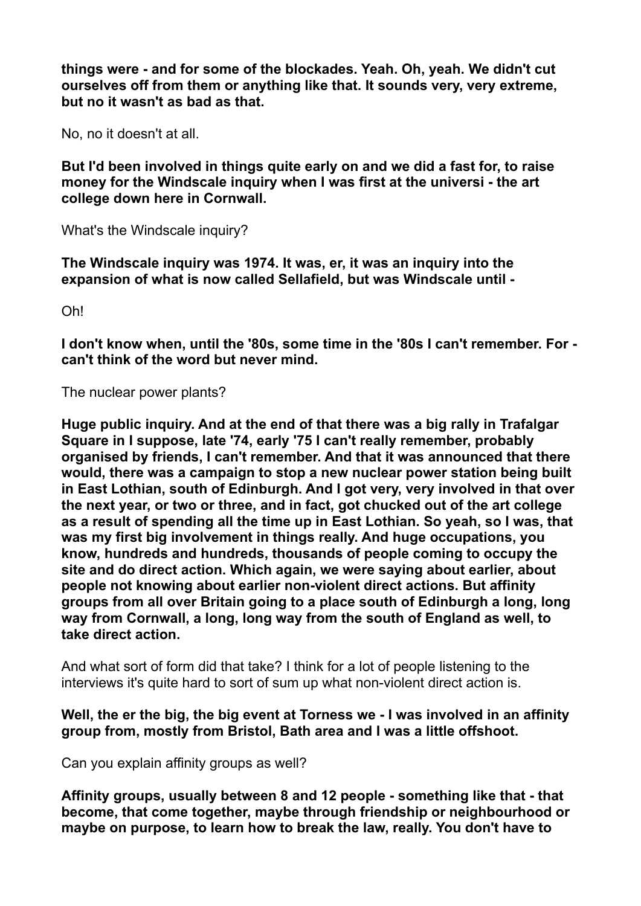**things were - and for some of the blockades. Yeah. Oh, yeah. We didn't cut ourselves off from them or anything like that. It sounds very, very extreme, but no it wasn't as bad as that.** 

No, no it doesn't at all.

**But I'd been involved in things quite early on and we did a fast for, to raise money for the Windscale inquiry when I was first at the universi - the art college down here in Cornwall.** 

What's the Windscale inquiry?

**The Windscale inquiry was 1974. It was, er, it was an inquiry into the expansion of what is now called Sellafield, but was Windscale until -** 

Oh!

**I don't know when, until the '80s, some time in the '80s I can't remember. For can't think of the word but never mind.** 

The nuclear power plants?

**Huge public inquiry. And at the end of that there was a big rally in Trafalgar Square in I suppose, late '74, early '75 I can't really remember, probably organised by friends, I can't remember. And that it was announced that there would, there was a campaign to stop a new nuclear power station being built in East Lothian, south of Edinburgh. And I got very, very involved in that over the next year, or two or three, and in fact, got chucked out of the art college as a result of spending all the time up in East Lothian. So yeah, so I was, that was my first big involvement in things really. And huge occupations, you know, hundreds and hundreds, thousands of people coming to occupy the site and do direct action. Which again, we were saying about earlier, about people not knowing about earlier non-violent direct actions. But affinity groups from all over Britain going to a place south of Edinburgh a long, long way from Cornwall, a long, long way from the south of England as well, to take direct action.** 

And what sort of form did that take? I think for a lot of people listening to the interviews it's quite hard to sort of sum up what non-violent direct action is.

#### **Well, the er the big, the big event at Torness we - I was involved in an affinity group from, mostly from Bristol, Bath area and I was a little offshoot.**

Can you explain affinity groups as well?

**Affinity groups, usually between 8 and 12 people - something like that - that become, that come together, maybe through friendship or neighbourhood or maybe on purpose, to learn how to break the law, really. You don't have to**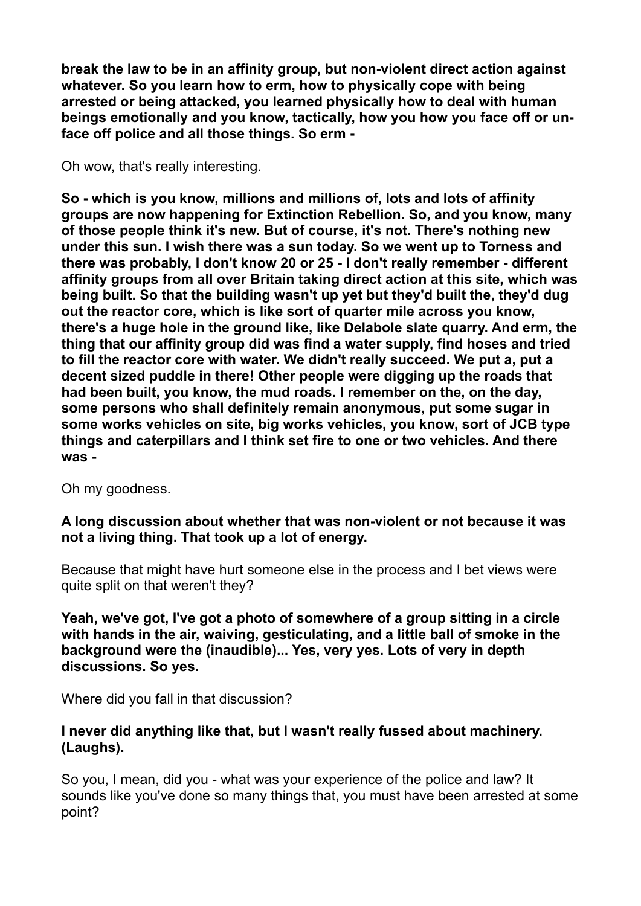**break the law to be in an affinity group, but non-violent direct action against whatever. So you learn how to erm, how to physically cope with being arrested or being attacked, you learned physically how to deal with human beings emotionally and you know, tactically, how you how you face off or unface off police and all those things. So erm -** 

Oh wow, that's really interesting.

**So - which is you know, millions and millions of, lots and lots of affinity groups are now happening for Extinction Rebellion. So, and you know, many of those people think it's new. But of course, it's not. There's nothing new under this sun. I wish there was a sun today. So we went up to Torness and there was probably, I don't know 20 or 25 - I don't really remember - different affinity groups from all over Britain taking direct action at this site, which was being built. So that the building wasn't up yet but they'd built the, they'd dug out the reactor core, which is like sort of quarter mile across you know, there's a huge hole in the ground like, like Delabole slate quarry. And erm, the thing that our affinity group did was find a water supply, find hoses and tried to fill the reactor core with water. We didn't really succeed. We put a, put a decent sized puddle in there! Other people were digging up the roads that had been built, you know, the mud roads. I remember on the, on the day, some persons who shall definitely remain anonymous, put some sugar in some works vehicles on site, big works vehicles, you know, sort of JCB type things and caterpillars and I think set fire to one or two vehicles. And there was -** 

Oh my goodness.

**A long discussion about whether that was non-violent or not because it was not a living thing. That took up a lot of energy.**

Because that might have hurt someone else in the process and I bet views were quite split on that weren't they?

**Yeah, we've got, I've got a photo of somewhere of a group sitting in a circle with hands in the air, waiving, gesticulating, and a little ball of smoke in the background were the (inaudible)... Yes, very yes. Lots of very in depth discussions. So yes.** 

Where did you fall in that discussion?

#### **I never did anything like that, but I wasn't really fussed about machinery. (Laughs).**

So you, I mean, did you - what was your experience of the police and law? It sounds like you've done so many things that, you must have been arrested at some point?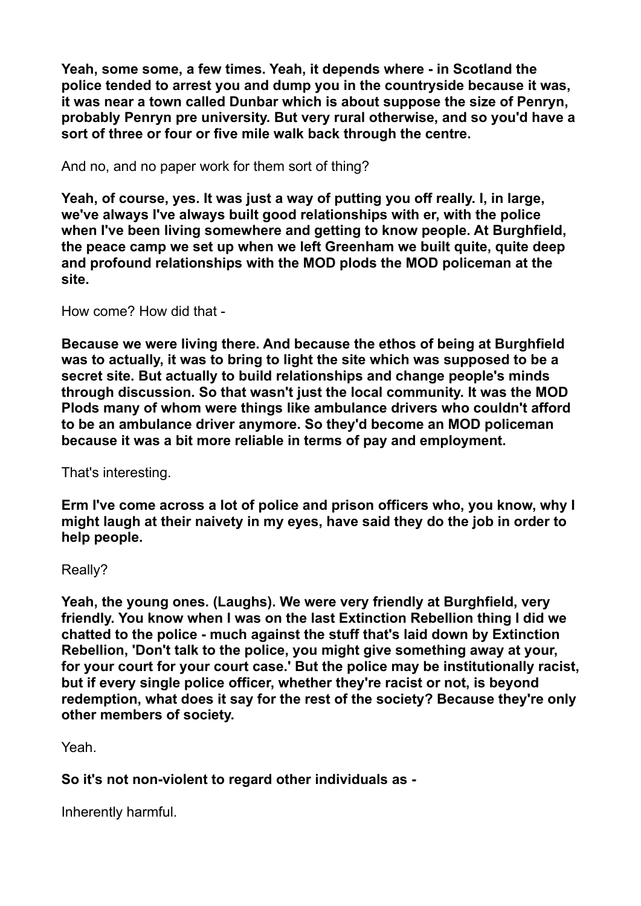**Yeah, some some, a few times. Yeah, it depends where - in Scotland the police tended to arrest you and dump you in the countryside because it was, it was near a town called Dunbar which is about suppose the size of Penryn, probably Penryn pre university. But very rural otherwise, and so you'd have a sort of three or four or five mile walk back through the centre.** 

And no, and no paper work for them sort of thing?

**Yeah, of course, yes. It was just a way of putting you off really. I, in large, we've always I've always built good relationships with er, with the police when I've been living somewhere and getting to know people. At Burghfield, the peace camp we set up when we left Greenham we built quite, quite deep and profound relationships with the MOD plods the MOD policeman at the site.** 

How come? How did that -

**Because we were living there. And because the ethos of being at Burghfield was to actually, it was to bring to light the site which was supposed to be a secret site. But actually to build relationships and change people's minds through discussion. So that wasn't just the local community. It was the MOD Plods many of whom were things like ambulance drivers who couldn't afford to be an ambulance driver anymore. So they'd become an MOD policeman because it was a bit more reliable in terms of pay and employment.** 

That's interesting.

**Erm I've come across a lot of police and prison officers who, you know, why I might laugh at their naivety in my eyes, have said they do the job in order to help people.** 

Really?

**Yeah, the young ones. (Laughs). We were very friendly at Burghfield, very friendly. You know when I was on the last Extinction Rebellion thing I did we chatted to the police - much against the stuff that's laid down by Extinction Rebellion, 'Don't talk to the police, you might give something away at your, for your court for your court case.' But the police may be institutionally racist, but if every single police officer, whether they're racist or not, is beyond redemption, what does it say for the rest of the society? Because they're only other members of society.** 

Yeah.

**So it's not non-violent to regard other individuals as -** 

Inherently harmful.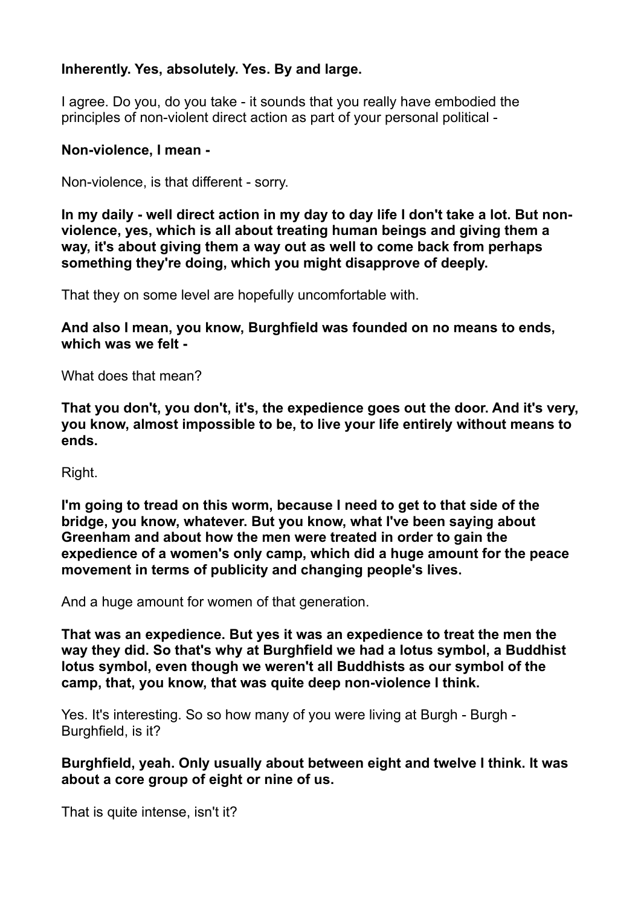### **Inherently. Yes, absolutely. Yes. By and large.**

I agree. Do you, do you take - it sounds that you really have embodied the principles of non-violent direct action as part of your personal political -

#### **Non-violence, I mean -**

Non-violence, is that different - sorry.

**In my daily - well direct action in my day to day life I don't take a lot. But nonviolence, yes, which is all about treating human beings and giving them a way, it's about giving them a way out as well to come back from perhaps something they're doing, which you might disapprove of deeply.** 

That they on some level are hopefully uncomfortable with.

**And also I mean, you know, Burghfield was founded on no means to ends, which was we felt -** 

What does that mean?

**That you don't, you don't, it's, the expedience goes out the door. And it's very, you know, almost impossible to be, to live your life entirely without means to ends.** 

Right.

**I'm going to tread on this worm, because I need to get to that side of the bridge, you know, whatever. But you know, what I've been saying about Greenham and about how the men were treated in order to gain the expedience of a women's only camp, which did a huge amount for the peace movement in terms of publicity and changing people's lives.** 

And a huge amount for women of that generation.

**That was an expedience. But yes it was an expedience to treat the men the way they did. So that's why at Burghfield we had a lotus symbol, a Buddhist lotus symbol, even though we weren't all Buddhists as our symbol of the camp, that, you know, that was quite deep non-violence I think.** 

Yes. It's interesting. So so how many of you were living at Burgh - Burgh - Burghfield, is it?

**Burghfield, yeah. Only usually about between eight and twelve I think. It was about a core group of eight or nine of us.** 

That is quite intense, isn't it?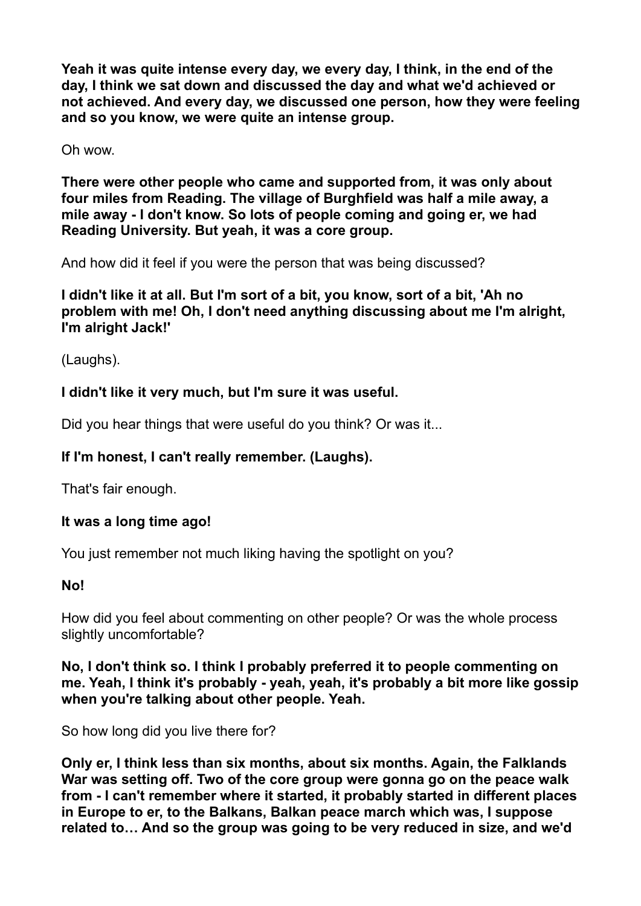**Yeah it was quite intense every day, we every day, I think, in the end of the day, I think we sat down and discussed the day and what we'd achieved or not achieved. And every day, we discussed one person, how they were feeling and so you know, we were quite an intense group.** 

Oh wow.

**There were other people who came and supported from, it was only about four miles from Reading. The village of Burghfield was half a mile away, a mile away - I don't know. So lots of people coming and going er, we had Reading University. But yeah, it was a core group.** 

And how did it feel if you were the person that was being discussed?

**I didn't like it at all. But I'm sort of a bit, you know, sort of a bit, 'Ah no problem with me! Oh, I don't need anything discussing about me I'm alright, I'm alright Jack!'** 

(Laughs).

### **I didn't like it very much, but I'm sure it was useful.**

Did you hear things that were useful do you think? Or was it...

### **If I'm honest, I can't really remember. (Laughs).**

That's fair enough.

### **It was a long time ago!**

You just remember not much liking having the spotlight on you?

### **No!**

How did you feel about commenting on other people? Or was the whole process slightly uncomfortable?

**No, I don't think so. I think I probably preferred it to people commenting on me. Yeah, I think it's probably - yeah, yeah, it's probably a bit more like gossip when you're talking about other people. Yeah.** 

So how long did you live there for?

**Only er, I think less than six months, about six months. Again, the Falklands War was setting off. Two of the core group were gonna go on the peace walk from - I can't remember where it started, it probably started in different places in Europe to er, to the Balkans, Balkan peace march which was, I suppose related to… And so the group was going to be very reduced in size, and we'd**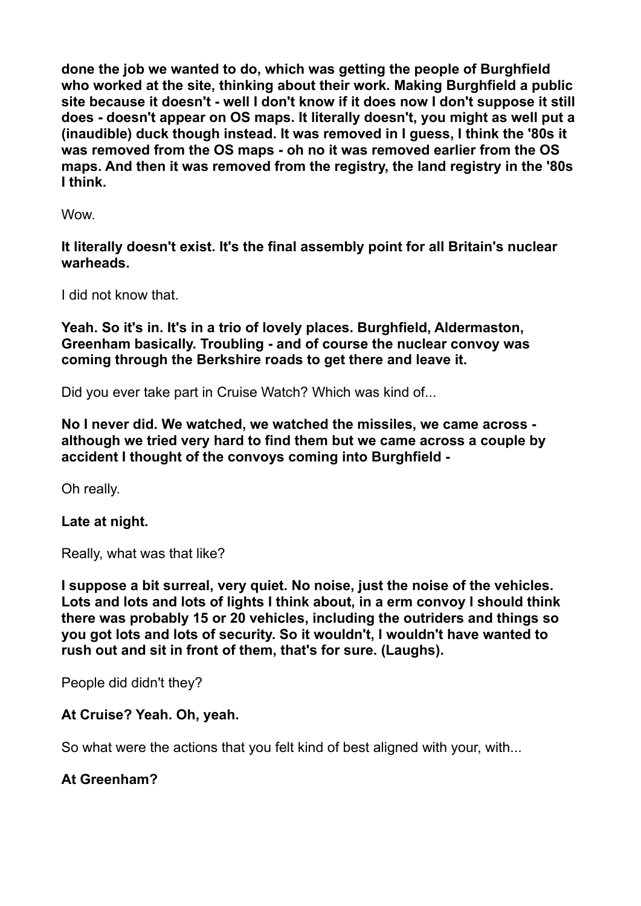**done the job we wanted to do, which was getting the people of Burghfield who worked at the site, thinking about their work. Making Burghfield a public site because it doesn't - well I don't know if it does now I don't suppose it still does - doesn't appear on OS maps. It literally doesn't, you might as well put a (inaudible) duck though instead. It was removed in I guess, I think the '80s it was removed from the OS maps - oh no it was removed earlier from the OS maps. And then it was removed from the registry, the land registry in the '80s I think.** 

**Wow.** 

**It literally doesn't exist. It's the final assembly point for all Britain's nuclear warheads.** 

I did not know that.

**Yeah. So it's in. It's in a trio of lovely places. Burghfield, Aldermaston, Greenham basically. Troubling - and of course the nuclear convoy was coming through the Berkshire roads to get there and leave it.** 

Did you ever take part in Cruise Watch? Which was kind of...

**No I never did. We watched, we watched the missiles, we came across although we tried very hard to find them but we came across a couple by accident I thought of the convoys coming into Burghfield -** 

Oh really.

### **Late at night.**

Really, what was that like?

**I suppose a bit surreal, very quiet. No noise, just the noise of the vehicles. Lots and lots and lots of lights I think about, in a erm convoy I should think there was probably 15 or 20 vehicles, including the outriders and things so you got lots and lots of security. So it wouldn't, I wouldn't have wanted to rush out and sit in front of them, that's for sure. (Laughs).** 

People did didn't they?

#### **At Cruise? Yeah. Oh, yeah.**

So what were the actions that you felt kind of best aligned with your, with...

### **At Greenham?**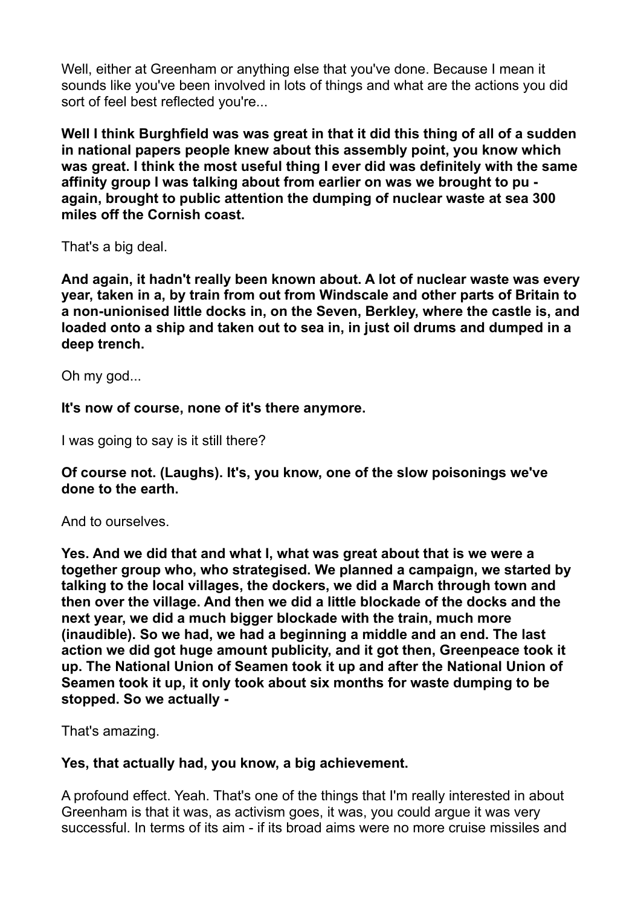Well, either at Greenham or anything else that you've done. Because I mean it sounds like you've been involved in lots of things and what are the actions you did sort of feel best reflected you're...

**Well I think Burghfield was was great in that it did this thing of all of a sudden in national papers people knew about this assembly point, you know which was great. I think the most useful thing I ever did was definitely with the same affinity group I was talking about from earlier on was we brought to pu again, brought to public attention the dumping of nuclear waste at sea 300 miles off the Cornish coast.** 

That's a big deal.

**And again, it hadn't really been known about. A lot of nuclear waste was every year, taken in a, by train from out from Windscale and other parts of Britain to a non-unionised little docks in, on the Seven, Berkley, where the castle is, and loaded onto a ship and taken out to sea in, in just oil drums and dumped in a deep trench.** 

Oh my god...

**It's now of course, none of it's there anymore.** 

I was going to say is it still there?

**Of course not. (Laughs). It's, you know, one of the slow poisonings we've done to the earth.** 

And to ourselves.

**Yes. And we did that and what I, what was great about that is we were a together group who, who strategised. We planned a campaign, we started by talking to the local villages, the dockers, we did a March through town and then over the village. And then we did a little blockade of the docks and the next year, we did a much bigger blockade with the train, much more (inaudible). So we had, we had a beginning a middle and an end. The last action we did got huge amount publicity, and it got then, Greenpeace took it up. The National Union of Seamen took it up and after the National Union of Seamen took it up, it only took about six months for waste dumping to be stopped. So we actually -** 

That's amazing.

### **Yes, that actually had, you know, a big achievement.**

A profound effect. Yeah. That's one of the things that I'm really interested in about Greenham is that it was, as activism goes, it was, you could argue it was very successful. In terms of its aim - if its broad aims were no more cruise missiles and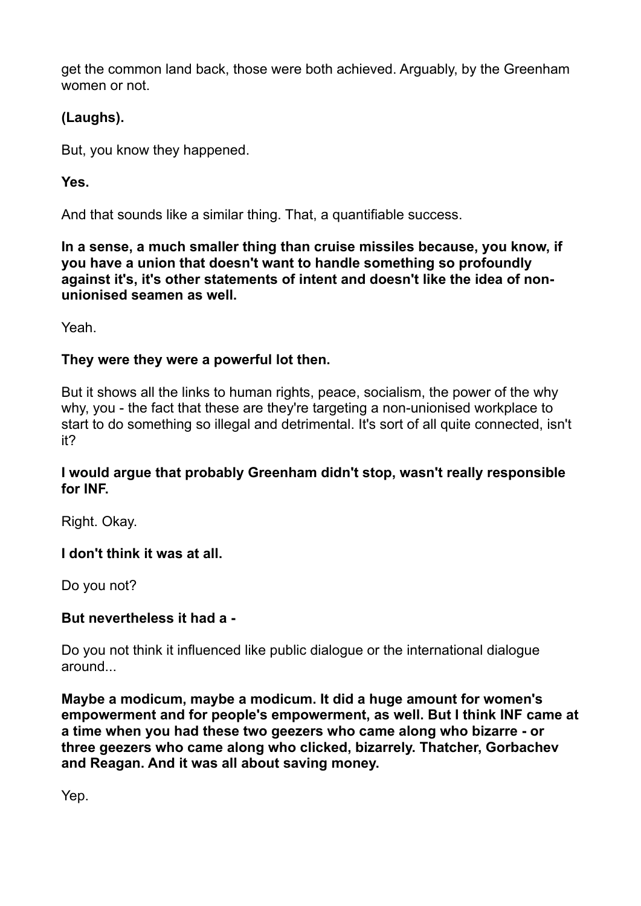get the common land back, those were both achieved. Arguably, by the Greenham women or not.

# **(Laughs).**

But, you know they happened.

# **Yes.**

And that sounds like a similar thing. That, a quantifiable success.

**In a sense, a much smaller thing than cruise missiles because, you know, if you have a union that doesn't want to handle something so profoundly against it's, it's other statements of intent and doesn't like the idea of nonunionised seamen as well.** 

Yeah.

### **They were they were a powerful lot then.**

But it shows all the links to human rights, peace, socialism, the power of the why why, you - the fact that these are they're targeting a non-unionised workplace to start to do something so illegal and detrimental. It's sort of all quite connected, isn't it?

### **I would argue that probably Greenham didn't stop, wasn't really responsible for INF.**

Right. Okay.

### **I don't think it was at all.**

Do you not?

# **But nevertheless it had a -**

Do you not think it influenced like public dialogue or the international dialogue around...

**Maybe a modicum, maybe a modicum. It did a huge amount for women's empowerment and for people's empowerment, as well. But I think INF came at a time when you had these two geezers who came along who bizarre - or three geezers who came along who clicked, bizarrely. Thatcher, Gorbachev and Reagan. And it was all about saving money.** 

Yep.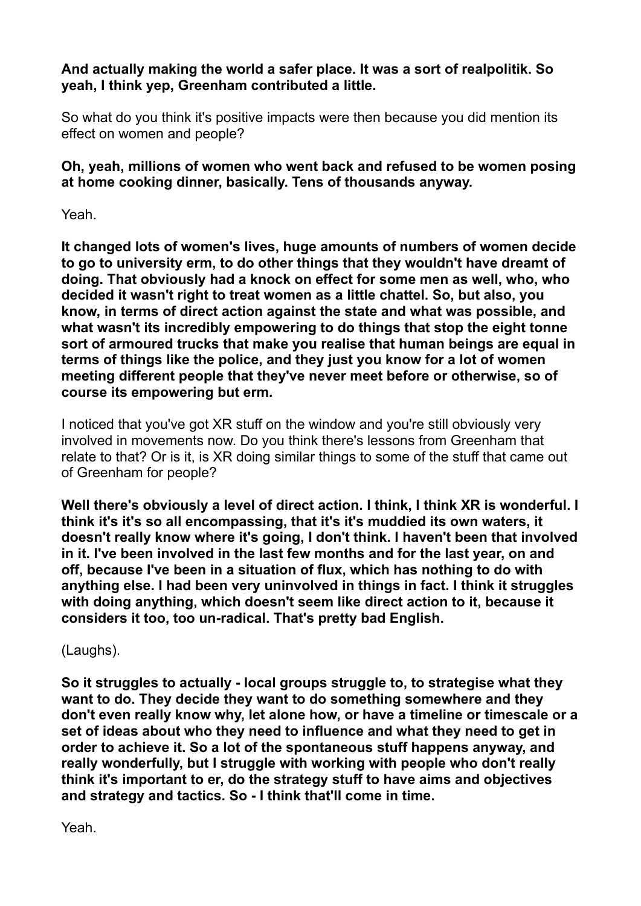### **And actually making the world a safer place. It was a sort of realpolitik. So yeah, I think yep, Greenham contributed a little.**

So what do you think it's positive impacts were then because you did mention its effect on women and people?

**Oh, yeah, millions of women who went back and refused to be women posing at home cooking dinner, basically. Tens of thousands anyway.** 

Yeah.

**It changed lots of women's lives, huge amounts of numbers of women decide to go to university erm, to do other things that they wouldn't have dreamt of doing. That obviously had a knock on effect for some men as well, who, who decided it wasn't right to treat women as a little chattel. So, but also, you know, in terms of direct action against the state and what was possible, and what wasn't its incredibly empowering to do things that stop the eight tonne sort of armoured trucks that make you realise that human beings are equal in terms of things like the police, and they just you know for a lot of women meeting different people that they've never meet before or otherwise, so of course its empowering but erm.** 

I noticed that you've got XR stuff on the window and you're still obviously very involved in movements now. Do you think there's lessons from Greenham that relate to that? Or is it, is XR doing similar things to some of the stuff that came out of Greenham for people?

**Well there's obviously a level of direct action. I think, I think XR is wonderful. I think it's it's so all encompassing, that it's it's muddied its own waters, it doesn't really know where it's going, I don't think. I haven't been that involved in it. I've been involved in the last few months and for the last year, on and off, because I've been in a situation of flux, which has nothing to do with anything else. I had been very uninvolved in things in fact. I think it struggles with doing anything, which doesn't seem like direct action to it, because it considers it too, too un-radical. That's pretty bad English.** 

(Laughs).

**So it struggles to actually - local groups struggle to, to strategise what they want to do. They decide they want to do something somewhere and they don't even really know why, let alone how, or have a timeline or timescale or a set of ideas about who they need to influence and what they need to get in order to achieve it. So a lot of the spontaneous stuff happens anyway, and really wonderfully, but I struggle with working with people who don't really think it's important to er, do the strategy stuff to have aims and objectives and strategy and tactics. So - I think that'll come in time.** 

Yeah.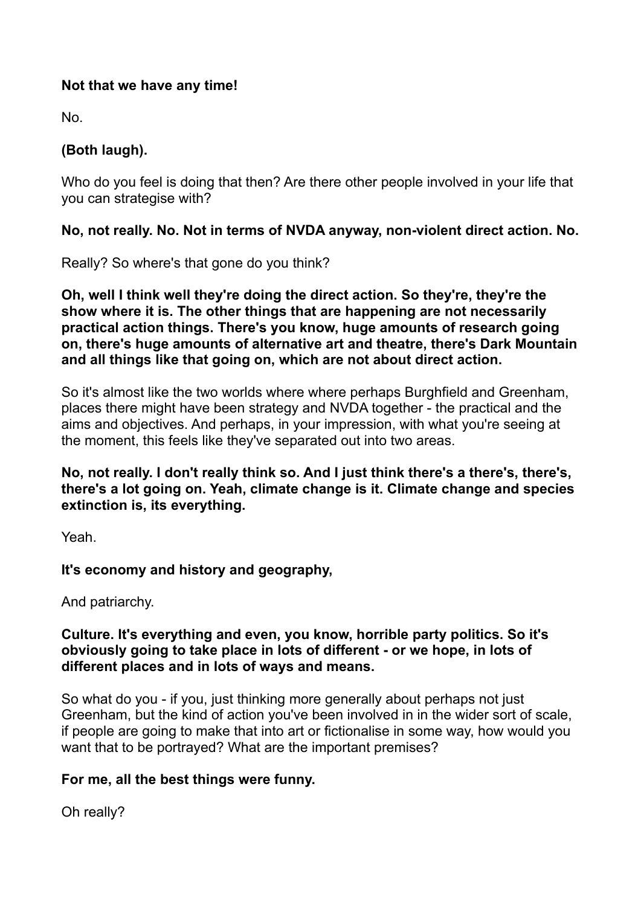#### **Not that we have any time!**

No.

# **(Both laugh).**

Who do you feel is doing that then? Are there other people involved in your life that you can strategise with?

### **No, not really. No. Not in terms of NVDA anyway, non-violent direct action. No.**

Really? So where's that gone do you think?

**Oh, well I think well they're doing the direct action. So they're, they're the show where it is. The other things that are happening are not necessarily practical action things. There's you know, huge amounts of research going on, there's huge amounts of alternative art and theatre, there's Dark Mountain and all things like that going on, which are not about direct action.** 

So it's almost like the two worlds where where perhaps Burghfield and Greenham, places there might have been strategy and NVDA together - the practical and the aims and objectives. And perhaps, in your impression, with what you're seeing at the moment, this feels like they've separated out into two areas.

**No, not really. I don't really think so. And I just think there's a there's, there's, there's a lot going on. Yeah, climate change is it. Climate change and species extinction is, its everything.** 

Yeah.

# **It's economy and history and geography,**

And patriarchy.

#### **Culture. It's everything and even, you know, horrible party politics. So it's obviously going to take place in lots of different - or we hope, in lots of different places and in lots of ways and means.**

So what do you - if you, just thinking more generally about perhaps not just Greenham, but the kind of action you've been involved in in the wider sort of scale, if people are going to make that into art or fictionalise in some way, how would you want that to be portrayed? What are the important premises?

### **For me, all the best things were funny.**

Oh really?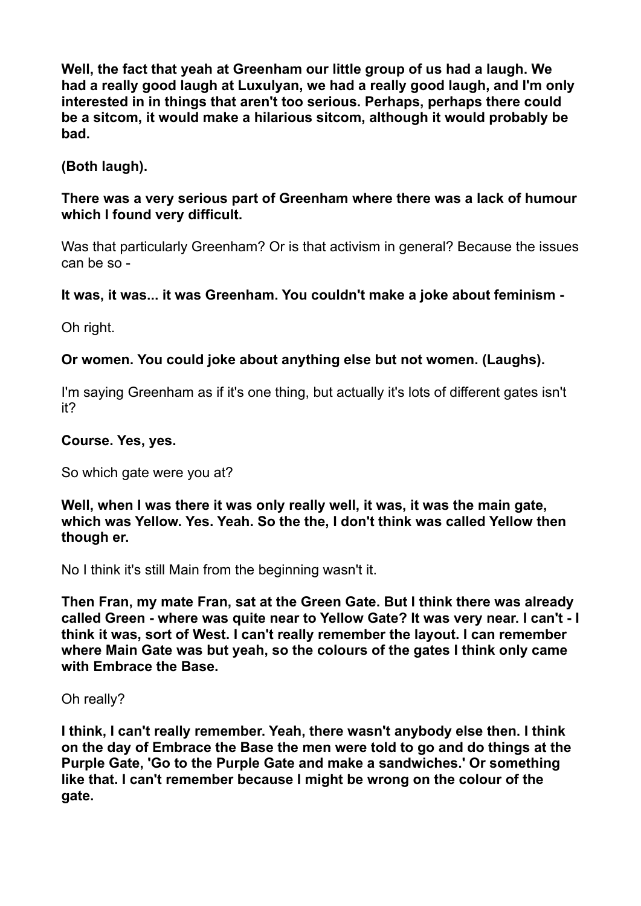**Well, the fact that yeah at Greenham our little group of us had a laugh. We had a really good laugh at Luxulyan, we had a really good laugh, and I'm only interested in in things that aren't too serious. Perhaps, perhaps there could be a sitcom, it would make a hilarious sitcom, although it would probably be bad.** 

### **(Both laugh).**

#### **There was a very serious part of Greenham where there was a lack of humour which I found very difficult.**

Was that particularly Greenham? Or is that activism in general? Because the issues can be so -

### **It was, it was... it was Greenham. You couldn't make a joke about feminism -**

Oh right.

### **Or women. You could joke about anything else but not women. (Laughs).**

I'm saying Greenham as if it's one thing, but actually it's lots of different gates isn't it?

#### **Course. Yes, yes.**

So which gate were you at?

**Well, when I was there it was only really well, it was, it was the main gate, which was Yellow. Yes. Yeah. So the the, I don't think was called Yellow then though er.** 

No I think it's still Main from the beginning wasn't it.

**Then Fran, my mate Fran, sat at the Green Gate. But I think there was already called Green - where was quite near to Yellow Gate? It was very near. I can't - I think it was, sort of West. I can't really remember the layout. I can remember where Main Gate was but yeah, so the colours of the gates I think only came with Embrace the Base.** 

Oh really?

**I think, I can't really remember. Yeah, there wasn't anybody else then. I think on the day of Embrace the Base the men were told to go and do things at the Purple Gate, 'Go to the Purple Gate and make a sandwiches.' Or something like that. I can't remember because I might be wrong on the colour of the gate.**